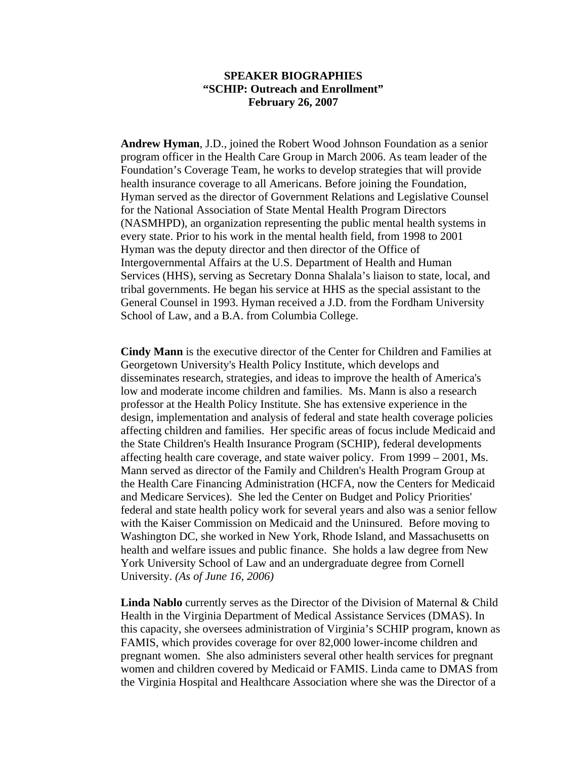## **SPEAKER BIOGRAPHIES "SCHIP: Outreach and Enrollment" February 26, 2007**

**Andrew Hyman**, J.D., joined the Robert Wood Johnson Foundation as a senior program officer in the Health Care Group in March 2006. As team leader of the Foundation's Coverage Team, he works to develop strategies that will provide health insurance coverage to all Americans. Before joining the Foundation, Hyman served as the director of Government Relations and Legislative Counsel for the National Association of State Mental Health Program Directors (NASMHPD), an organization representing the public mental health systems in every state. Prior to his work in the mental health field, from 1998 to 2001 Hyman was the deputy director and then director of the Office of Intergovernmental Affairs at the U.S. Department of Health and Human Services (HHS), serving as Secretary Donna Shalala's liaison to state, local, and tribal governments. He began his service at HHS as the special assistant to the General Counsel in 1993. Hyman received a J.D. from the Fordham University School of Law, and a B.A. from Columbia College.

**Cindy Mann** is the executive director of the Center for Children and Families at Georgetown University's Health Policy Institute, which develops and disseminates research, strategies, and ideas to improve the health of America's low and moderate income children and families. Ms. Mann is also a research professor at the Health Policy Institute. She has extensive experience in the design, implementation and analysis of federal and state health coverage policies affecting children and families. Her specific areas of focus include Medicaid and the State Children's Health Insurance Program (SCHIP), federal developments affecting health care coverage, and state waiver policy. From 1999 – 2001, Ms. Mann served as director of the Family and Children's Health Program Group at the Health Care Financing Administration (HCFA, now the Centers for Medicaid and Medicare Services). She led the Center on Budget and Policy Priorities' federal and state health policy work for several years and also was a senior fellow with the Kaiser Commission on Medicaid and the Uninsured. Before moving to Washington DC, she worked in New York, Rhode Island, and Massachusetts on health and welfare issues and public finance. She holds a law degree from New York University School of Law and an undergraduate degree from Cornell University. *(As of June 16, 2006)* 

**Linda Nablo** currently serves as the Director of the Division of Maternal & Child Health in the Virginia Department of Medical Assistance Services (DMAS). In this capacity, she oversees administration of Virginia's SCHIP program, known as FAMIS, which provides coverage for over 82,000 lower-income children and pregnant women. She also administers several other health services for pregnant women and children covered by Medicaid or FAMIS. Linda came to DMAS from the Virginia Hospital and Healthcare Association where she was the Director of a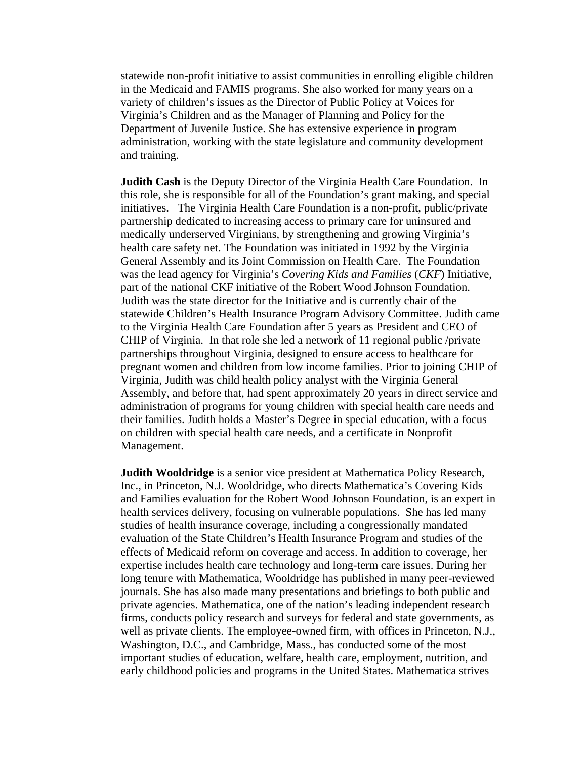statewide non-profit initiative to assist communities in enrolling eligible children in the Medicaid and FAMIS programs. She also worked for many years on a variety of children's issues as the Director of Public Policy at Voices for Virginia's Children and as the Manager of Planning and Policy for the Department of Juvenile Justice. She has extensive experience in program administration, working with the state legislature and community development and training.

**Judith Cash** is the Deputy Director of the Virginia Health Care Foundation. In this role, she is responsible for all of the Foundation's grant making, and special initiatives. The Virginia Health Care Foundation is a non-profit, public/private partnership dedicated to increasing access to primary care for uninsured and medically underserved Virginians, by strengthening and growing Virginia's health care safety net. The Foundation was initiated in 1992 by the Virginia General Assembly and its Joint Commission on Health Care. The Foundation was the lead agency for Virginia's *Covering Kids and Families* (*CKF*) Initiative, part of the national CKF initiative of the Robert Wood Johnson Foundation. Judith was the state director for the Initiative and is currently chair of the statewide Children's Health Insurance Program Advisory Committee. Judith came to the Virginia Health Care Foundation after 5 years as President and CEO of CHIP of Virginia. In that role she led a network of 11 regional public /private partnerships throughout Virginia, designed to ensure access to healthcare for pregnant women and children from low income families. Prior to joining CHIP of Virginia, Judith was child health policy analyst with the Virginia General Assembly, and before that, had spent approximately 20 years in direct service and administration of programs for young children with special health care needs and their families. Judith holds a Master's Degree in special education, with a focus on children with special health care needs, and a certificate in Nonprofit Management.

**Judith Wooldridge** is a senior vice president at Mathematica Policy Research, Inc., in Princeton, N.J. Wooldridge, who directs Mathematica's Covering Kids and Families evaluation for the Robert Wood Johnson Foundation, is an expert in health services delivery, focusing on vulnerable populations. She has led many studies of health insurance coverage, including a congressionally mandated evaluation of the State Children's Health Insurance Program and studies of the effects of Medicaid reform on coverage and access. In addition to coverage, her expertise includes health care technology and long-term care issues. During her long tenure with Mathematica, Wooldridge has published in many peer-reviewed journals. She has also made many presentations and briefings to both public and private agencies. Mathematica, one of the nation's leading independent research firms, conducts policy research and surveys for federal and state governments, as well as private clients. The employee-owned firm, with offices in Princeton, N.J., Washington, D.C., and Cambridge, Mass., has conducted some of the most important studies of education, welfare, health care, employment, nutrition, and early childhood policies and programs in the United States. Mathematica strives